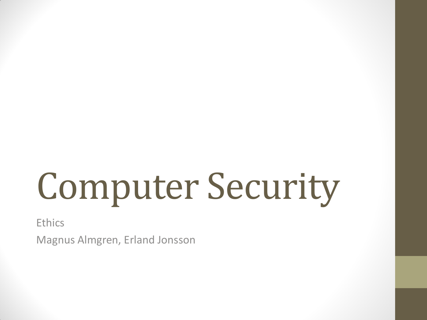# Computer Security

**Ethics** 

Magnus Almgren, Erland Jonsson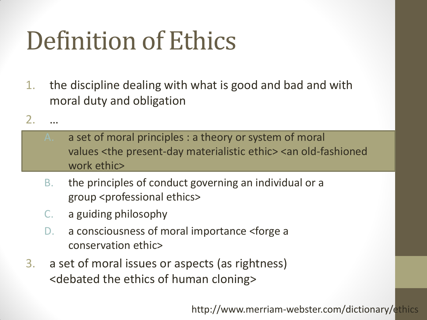## Definition of Ethics

- 1. the discipline dealing with what is good and bad and with moral duty and obligation
- $2<sub>1</sub>$ 
	- A. a set of moral principles : a theory or system of moral values <the present-day materialistic ethic> <an old-fashioned work ethic>
	- B. the principles of conduct governing an individual or a group <professional ethics>
	- C. a guiding philosophy
	- D. a consciousness of moral importance <forge a conservation ethic>
- 3. a set of moral issues or aspects (as rightness) <debated the ethics of human cloning>

http://www.merriam-webster.com/dictionary/ethics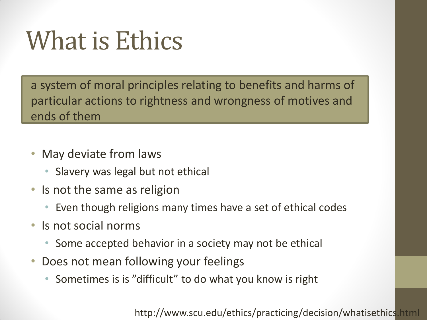### What is Ethics

a system of moral principles relating to benefits and harms of particular actions to rightness and wrongness of motives and ends of them

- May deviate from laws
	- Slavery was legal but not ethical
- Is not the same as religion
	- Even though religions many times have a set of ethical codes
- Is not social norms
	- Some accepted behavior in a society may not be ethical
- Does not mean following your feelings
	- Sometimes is is "difficult" to do what you know is right

http://www.scu.edu/ethics/practicing/decision/whatisethics.html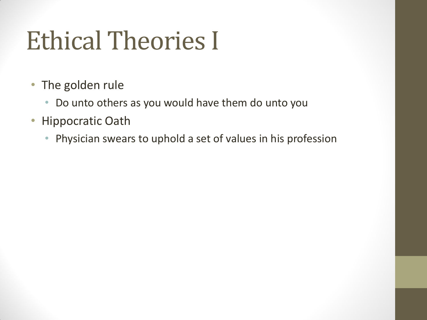### Ethical Theories I

- The golden rule
	- Do unto others as you would have them do unto you
- Hippocratic Oath
	- Physician swears to uphold a set of values in his profession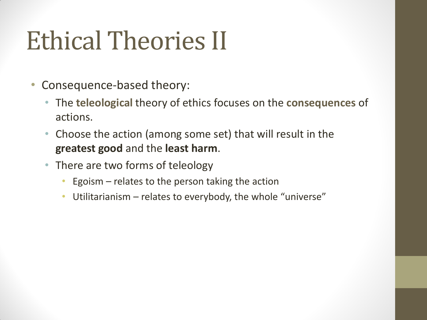### Ethical Theories II

- Consequence-based theory:
	- The **teleological** theory of ethics focuses on the **consequences** of actions.
	- Choose the action (among some set) that will result in the **greatest good** and the **least harm**.
	- There are two forms of teleology
		- Egoism  $-$  relates to the person taking the action
		- Utilitarianism relates to everybody, the whole "universe"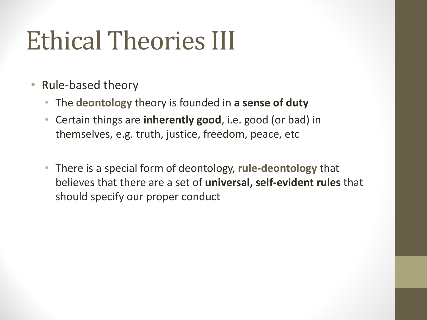### Ethical Theories III

- Rule-based theory
	- The **deontology** theory is founded in **a sense of duty**
	- Certain things are **inherently good**, i.e. good (or bad) in themselves, e.g. truth, justice, freedom, peace, etc
	- There is a special form of deontology, **rule-deontology** that believes that there are a set of **universal, self-evident rules** that should specify our proper conduct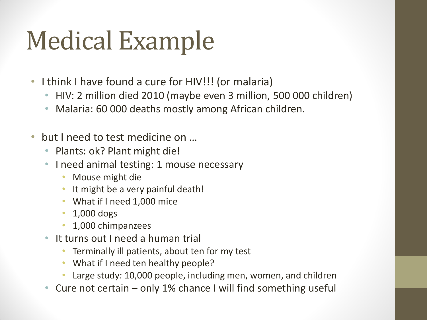### Medical Example

- I think I have found a cure for HIV!!! (or malaria)
	- HIV: 2 million died 2010 (maybe even 3 million, 500 000 children)
	- Malaria: 60 000 deaths mostly among African children.
- but I need to test medicine on ...
	- Plants: ok? Plant might die!
	- I need animal testing: 1 mouse necessary
		- Mouse might die
		- It might be a very painful death!
		- What if I need 1,000 mice
		- 1,000 dogs
		- 1,000 chimpanzees
	- It turns out I need a human trial
		- Terminally ill patients, about ten for my test
		- What if I need ten healthy people?
		- Large study: 10,000 people, including men, women, and children
	- Cure not certain only 1% chance I will find something useful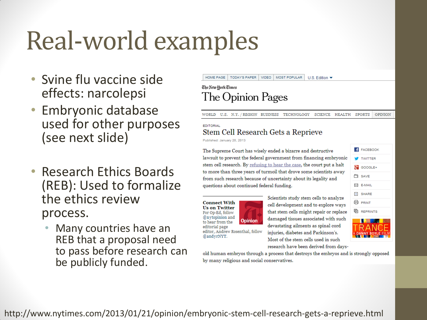### Real-world examples

- Svine flu vaccine side effects: narcolepsi
- Embryonic database used for other purposes (see next slide)
- Research Ethics Boards (REB): Used to formalize the ethics review process.
	- Many countries have an REB that a proposal need to pass before research can be publicly funded.

### HOME PAGE **TODAY'S PAPER VIDEO** MOST POPULAR U.S. Edition  $\blacktriangledown$

### The New York Times The Opinion Pages

**WORLD** U.S. N.Y. / REGION BUSINESS TECHNOLOGY SCIENCE HEALTH SPORTS **OPINION** 

### **EDITORIAL** Stem Cell Research Gets a Reprieve

Published: January 20, 2013

The Supreme Court has wisely ended a bizarre and destructive lawsuit to prevent the federal government from financing embryonic stem cell research. By refusing to hear the case, the court put a halt to more than three years of turmoil that drove some scientists away from such research because of uncertainty about its legality and questions about continued federal funding.

**Connect With Us on Twitter** For Op-Ed, follow @nytopinion and to hear from the editorial page editor, Andrew Rosenthal, follow @andyrNYT.



Scientists study stem cells to analyze cell development and to explore ways that stem cells might repair or replace damaged tissues associated with such devastating ailments as spinal cord injuries, diabetes and Parkinson's. Most of the stem cells used in such research have been derived from days-

**FACEBOOK TWITTER X** GOOGLE+ 白 SAVE **E-MAIL**  $+$  SHARE 品 PRINT **h** REPRINTS



old human embryos through a process that destroys the embryos and is strongly opposed by many religious and social conservatives.

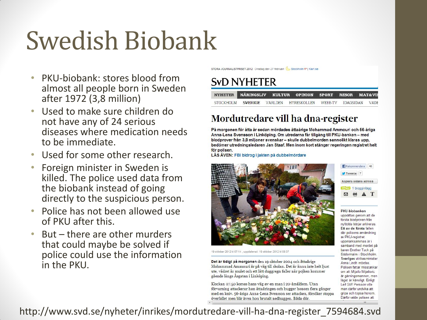## Swedish Biobank

- PKU-biobank: stores blood from almost all people born in Sweden after 1972 (3,8 million)
- Used to make sure children do not have any of 24 serious diseases where medication needs to be immediate.
- Used for some other research.
- Foreign minister in Sweden is killed. The police used data from the biobank instead of going directly to the suspicious person.
- Police has not been allowed use of PKU after this.
- But there are other murders that could maybe be solved if police could use the information in the PKU.

STORA JOURNALISTPRISET 2012 Onsdag den 27 februari Stockholm 1º | Klart.se

### **SVD NYHETER**

|  | NYHETER NÄRINGSLIV KULTUR OPINION SPORT RESOR MAT&VII        |  |  |
|--|--------------------------------------------------------------|--|--|
|  | STOCKHOLM SVERIGE VÄRLDEN HYRESKOLLEN WEBB-TV IDAGSIDAN VÄDE |  |  |

### Mordutredare vill ha dna-register

På morgonen för åtta år sedan mördades åttaårige Mohammad Ammouri och 56-åriga Anna-Lena Svensson i Linköping. Om utredarna får tillgång till PKU-banken – med blodprover från 3.8 miljoner svenskar – skulle dubbelmorden sannolikt klaras upp. bedömer utredningsledaren Jan Staaf. Men inom kort stänger regeringen registret helt för polisen.

LÄS ÄVEN: FBI bidrog i jakten på dubbelmördare



19 oktober 2012 kl 07:14, uppdaterad: 19 oktober 2012 kl 08:37

Det är tidigt på morgonen den 19 oktober 2004 och åttaårige Mohammad Ammouri är på väg till skolan. Det är ännu inte helt ljust ute, vädret är mulet och ett lätt duggregn faller när pojken kommer gående längs Åsgatan i Linköping.

Klockan 07.50 korsas hans väg av en man i 20-årsåldern. Utan förvarning attackerar han åttaåringen och hugger honom flera gånger med en kniv. 56-åriga Anna-Lena Svensson ser attacken, försöker stoppa överfallet men blir även hon brutalt nedhuggen. Båda dör.



### **PKU-biobanken**

upprättas genom att de första blodproven från nyfödda börjar arkiveras. Ett av de första fallen där polisens användning av PKU-registret uppmärksammas är i samband med mordet på baren Brother Tuck på Södermalm i Stockholm Sveriges utrikesminister Anna Lindh mördas. Polisen fattar misstankar om att Mijailo Mijailovic är gärningsmannen, men läget är känsligt. Enligt Leif GW Persson ville man därför undvika att gripa och topsa honom Därför valde polisen att

http://www.svd.se/nyheter/inrikes/mordutredare-vill-ha-dna-register\_7594684.svd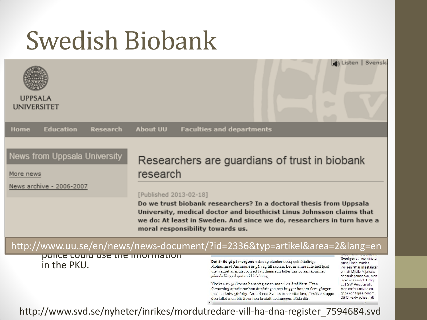### Swedish Biobank

| <b>UPPSALA</b><br><b>UNIVERSITET</b>                                   |                                                                                                                                                                                                                                                                                                                                                  | Svensk<br>Listen                                                                                                                                                                                                                                                                                                                                                                                                                                                                                                                                                                                                                                                                                                                                                        |  |  |  |  |  |  |
|------------------------------------------------------------------------|--------------------------------------------------------------------------------------------------------------------------------------------------------------------------------------------------------------------------------------------------------------------------------------------------------------------------------------------------|-------------------------------------------------------------------------------------------------------------------------------------------------------------------------------------------------------------------------------------------------------------------------------------------------------------------------------------------------------------------------------------------------------------------------------------------------------------------------------------------------------------------------------------------------------------------------------------------------------------------------------------------------------------------------------------------------------------------------------------------------------------------------|--|--|--|--|--|--|
| <b>Education</b><br><b>Research</b><br>Home                            | <b>About UU</b><br><b>Faculties and departments</b>                                                                                                                                                                                                                                                                                              |                                                                                                                                                                                                                                                                                                                                                                                                                                                                                                                                                                                                                                                                                                                                                                         |  |  |  |  |  |  |
| News from Uppsala University<br>More news<br>News archive - 2006-2007  | Researchers are guardians of trust in biobank<br>research<br>[Published 2013-02-18]<br>Do we trust biobank researchers? In a doctoral thesis from Uppsala<br>University, medical doctor and bioethicist Linus Johnsson claims that<br>we do: At least in Sweden. And since we do, researchers in turn have a<br>moral responsibility towards us. |                                                                                                                                                                                                                                                                                                                                                                                                                                                                                                                                                                                                                                                                                                                                                                         |  |  |  |  |  |  |
| http://www.uu.se/en/news/news-document/?id=2336&typ=artikel&area=2⟨=en |                                                                                                                                                                                                                                                                                                                                                  |                                                                                                                                                                                                                                                                                                                                                                                                                                                                                                                                                                                                                                                                                                                                                                         |  |  |  |  |  |  |
| ponce could use the imormation<br>in the PKU.                          | gående längs Åsgatan i Linköping.<br>$\leftarrow$                                                                                                                                                                                                                                                                                                | Sveriges utrikesminister<br>Det är tidigt på morgonen den 19 oktober 2004 och åttaårige<br>Anna Lindh mördas<br>Mohammad Ammouri är på väg till skolan. Det är ännu inte helt ljust<br>Polisen fattar misstankar<br>ute, vädret är mulet och ett lätt duggregn faller när pojken kommer<br>om att Mijailo Mijailovic<br>är gärningsmannen, men<br>läget är känsligt. Enligt<br>Klockan 07.50 korsas hans väg av en man i 20-årsåldern. Utan<br>Leif GW Persson ville<br>förvarning attackerar han åttaåringen och hugger honom flera gånger<br>man därför undvika att<br>gripa och topsa honom.<br>med en kniv. 56-åriga Anna-Lena Svensson ser attacken, försöker stoppa<br>Därför valde polisen att<br>överfallet men blir även hon brutalt nedhuggen. Båda dör.<br>m |  |  |  |  |  |  |

http://www.svd.se/nyheter/inrikes/mordutredare-vill-ha-dna-register\_7594684.svd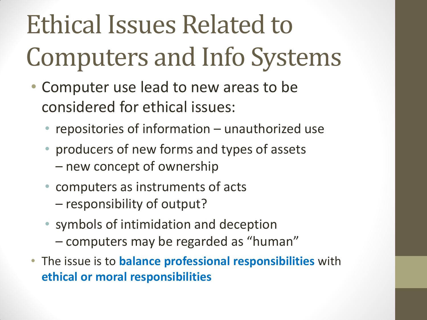## Ethical Issues Related to Computers and Info Systems

- Computer use lead to new areas to be considered for ethical issues:
	- repositories of information unauthorized use
	- producers of new forms and types of assets
		- new concept of ownership
	- computers as instruments of acts
		- responsibility of output?
	- symbols of intimidation and deception – computers may be regarded as "human"
- The issue is to **balance professional responsibilities** with **ethical or moral responsibilities**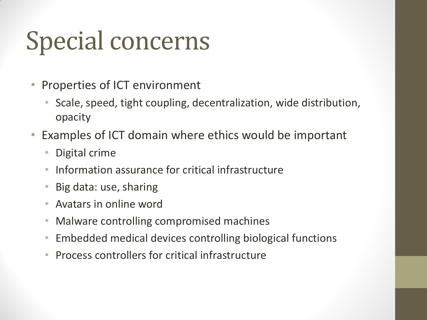### Special concerns

- Properties of ICT environment
	- Scale, speed, tight coupling, decentralization, wide distribution, opacity
- Examples of ICT domain where ethics would be important
	- Digital crime
	- Information assurance for critical infrastructure
	- Big data: use, sharing
	- Avatars in online word
	- Malware controlling compromised machines
	- Embedded medical devices controlling biological functions
	- Process controllers for critical infrastructure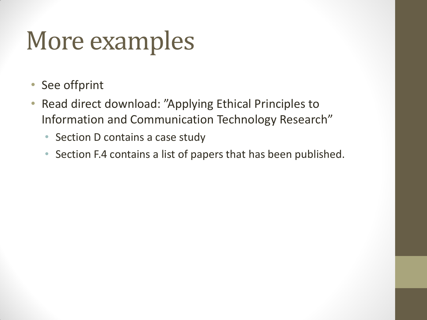### More examples

- See offprint
- Read direct download: "Applying Ethical Principles to Information and Communication Technology Research"
	- Section D contains a case study
	- Section F.4 contains a list of papers that has been published.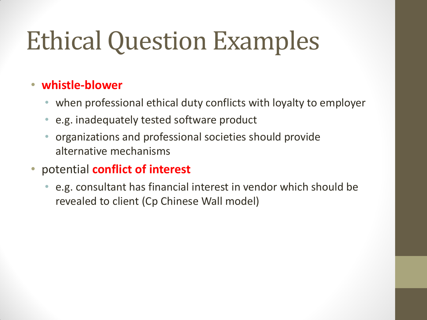## Ethical Question Examples

### • **whistle-blower**

- when professional ethical duty conflicts with loyalty to employer
- e.g. inadequately tested software product
- organizations and professional societies should provide alternative mechanisms
- potential **conflict of interest**
	- e.g. consultant has financial interest in vendor which should be revealed to client (Cp Chinese Wall model)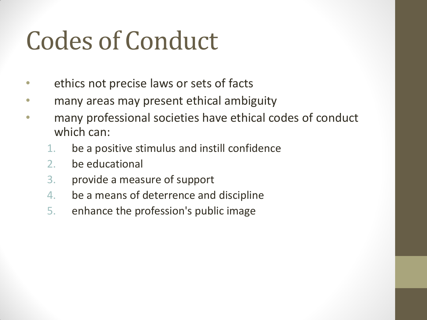### Codes of Conduct

- ethics not precise laws or sets of facts
- many areas may present ethical ambiguity
- many professional societies have ethical codes of conduct which can:
	- 1. be a positive stimulus and instill confidence
	- 2. be educational
	- 3. provide a measure of support
	- 4. be a means of deterrence and discipline
	- 5. enhance the profession's public image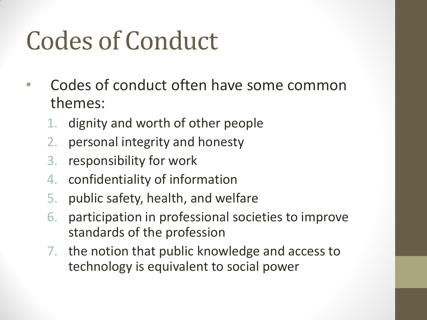### Codes of Conduct

- Codes of conduct often have some common themes:
	- dignity and worth of other people
	- 2. personal integrity and honesty
	- 3. responsibility for work
	- 4. confidentiality of information
	- 5. public safety, health, and welfare
	- 6. participation in professional societies to improve standards of the profession
	- 7. the notion that public knowledge and access to technology is equivalent to social power